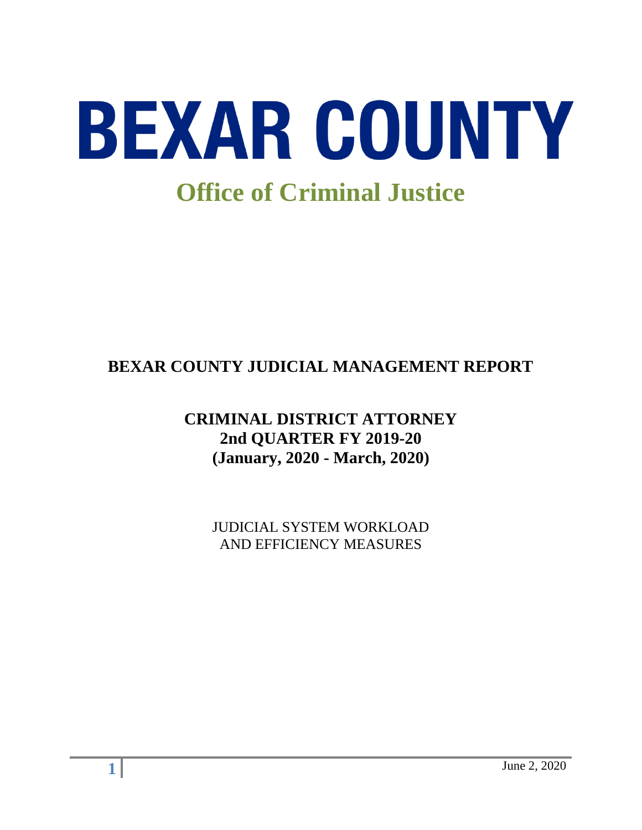

# **BEXAR COUNTY JUDICIAL MANAGEMENT REPORT**

## **CRIMINAL DISTRICT ATTORNEY 2nd QUARTER FY 2019-20 (January, 2020 - March, 2020)**

JUDICIAL SYSTEM WORKLOAD AND EFFICIENCY MEASURES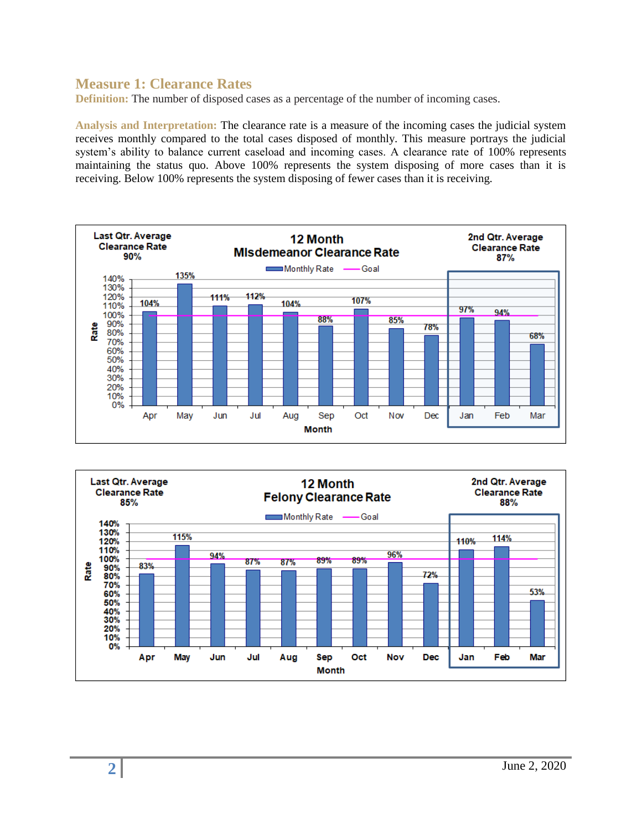#### **Measure 1: Clearance Rates**

**Definition:** The number of disposed cases as a percentage of the number of incoming cases.

**Analysis and Interpretation:** The clearance rate is a measure of the incoming cases the judicial system receives monthly compared to the total cases disposed of monthly. This measure portrays the judicial system's ability to balance current caseload and incoming cases. A clearance rate of 100% represents maintaining the status quo. Above 100% represents the system disposing of more cases than it is receiving. Below 100% represents the system disposing of fewer cases than it is receiving.



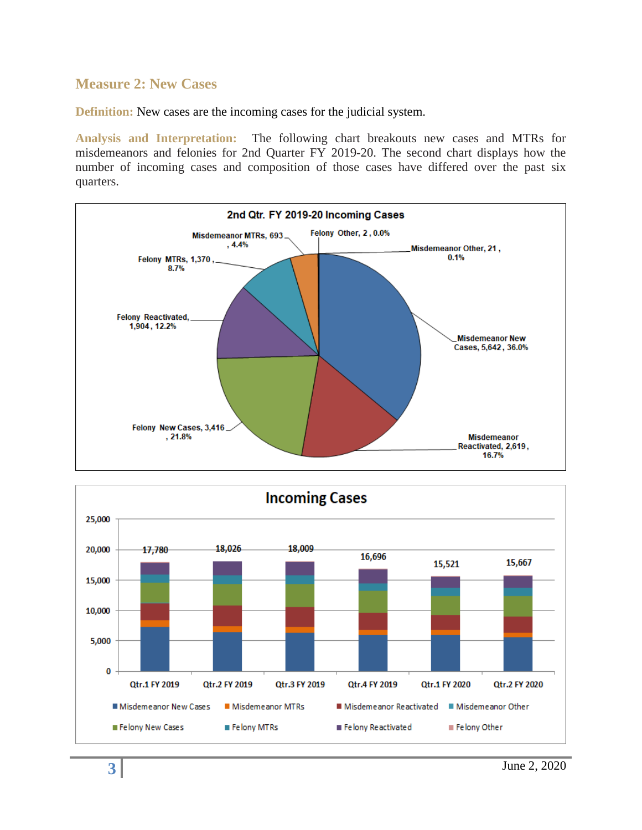#### **Measure 2: New Cases**

**Definition:** New cases are the incoming cases for the judicial system.

**Analysis and Interpretation:** The following chart breakouts new cases and MTRs for misdemeanors and felonies for 2nd Quarter FY 2019-20. The second chart displays how the number of incoming cases and composition of those cases have differed over the past six quarters.



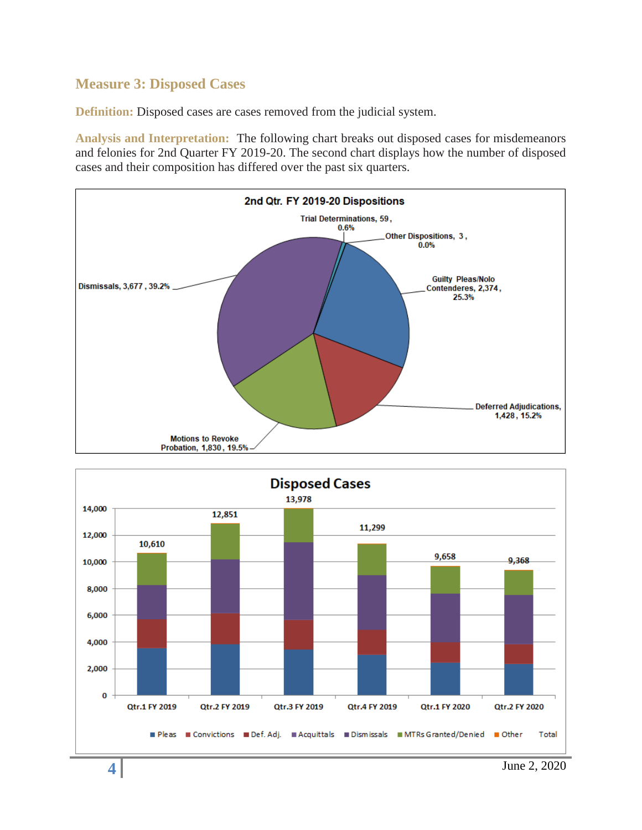## **Measure 3: Disposed Cases**

**Definition:** Disposed cases are cases removed from the judicial system.

**Analysis and Interpretation:** The following chart breaks out disposed cases for misdemeanors and felonies for 2nd Quarter FY 2019-20. The second chart displays how the number of disposed cases and their composition has differed over the past six quarters.



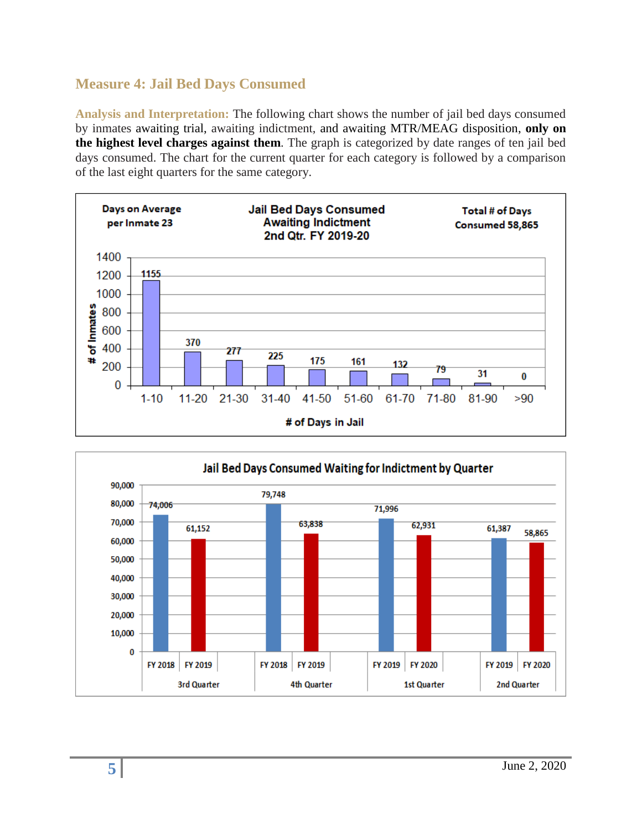## **Measure 4: Jail Bed Days Consumed**

**Analysis and Interpretation:** The following chart shows the number of jail bed days consumed by inmates awaiting trial, awaiting indictment, and awaiting MTR/MEAG disposition, **only on the highest level charges against them**. The graph is categorized by date ranges of ten jail bed days consumed. The chart for the current quarter for each category is followed by a comparison of the last eight quarters for the same category.



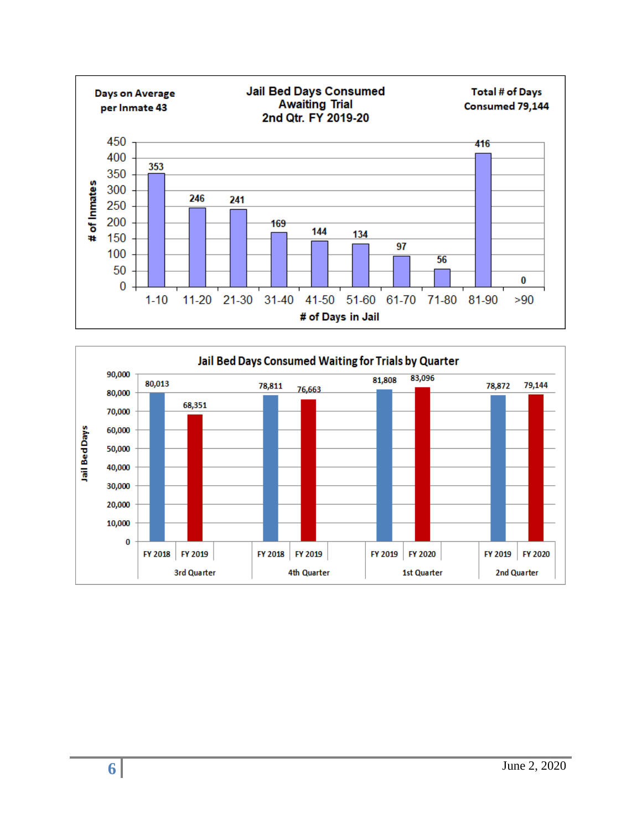

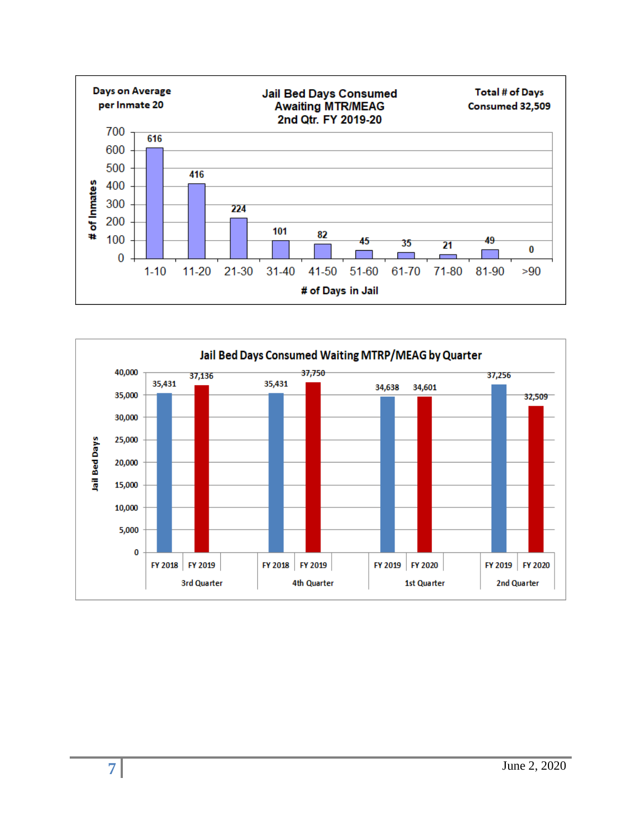

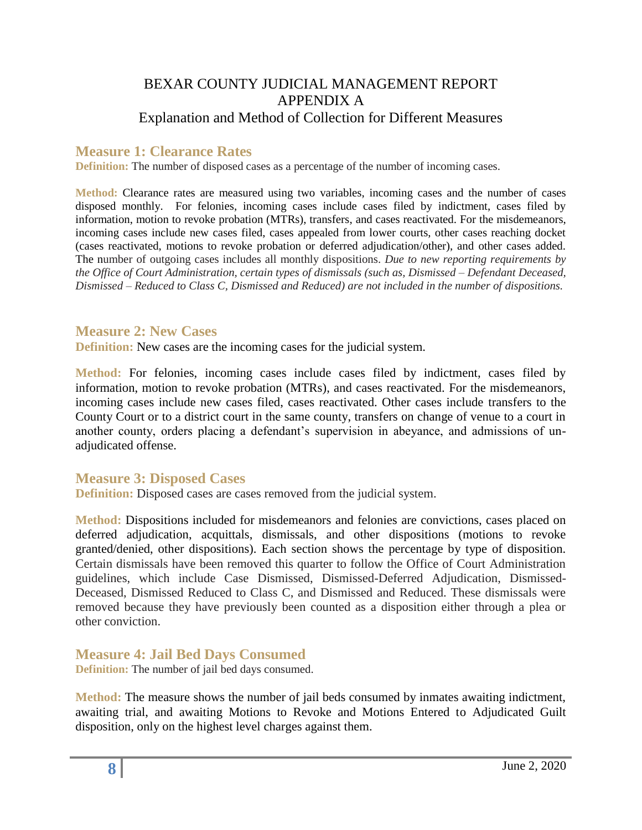## BEXAR COUNTY JUDICIAL MANAGEMENT REPORT APPENDIX A Explanation and Method of Collection for Different Measures

#### **Measure 1: Clearance Rates**

**Definition:** The number of disposed cases as a percentage of the number of incoming cases.

**Method:** Clearance rates are measured using two variables, incoming cases and the number of cases disposed monthly. For felonies, incoming cases include cases filed by indictment, cases filed by information, motion to revoke probation (MTRs), transfers, and cases reactivated. For the misdemeanors, incoming cases include new cases filed, cases appealed from lower courts, other cases reaching docket (cases reactivated, motions to revoke probation or deferred adjudication/other), and other cases added. The number of outgoing cases includes all monthly dispositions. *Due to new reporting requirements by the Office of Court Administration, certain types of dismissals (such as, Dismissed – Defendant Deceased, Dismissed – Reduced to Class C, Dismissed and Reduced) are not included in the number of dispositions.*

#### **Measure 2: New Cases**

**Definition:** New cases are the incoming cases for the judicial system.

**Method:** For felonies, incoming cases include cases filed by indictment, cases filed by information, motion to revoke probation (MTRs), and cases reactivated. For the misdemeanors, incoming cases include new cases filed, cases reactivated. Other cases include transfers to the County Court or to a district court in the same county, transfers on change of venue to a court in another county, orders placing a defendant's supervision in abeyance, and admissions of unadjudicated offense.

#### **Measure 3: Disposed Cases**

**Definition:** Disposed cases are cases removed from the judicial system.

**Method:** Dispositions included for misdemeanors and felonies are convictions, cases placed on deferred adjudication, acquittals, dismissals, and other dispositions (motions to revoke granted/denied, other dispositions). Each section shows the percentage by type of disposition. Certain dismissals have been removed this quarter to follow the Office of Court Administration guidelines, which include Case Dismissed, Dismissed-Deferred Adjudication, Dismissed-Deceased, Dismissed Reduced to Class C, and Dismissed and Reduced. These dismissals were removed because they have previously been counted as a disposition either through a plea or other conviction.

**Measure 4: Jail Bed Days Consumed** 

**Definition:** The number of jail bed days consumed.

**Method:** The measure shows the number of jail beds consumed by inmates awaiting indictment, awaiting trial, and awaiting Motions to Revoke and Motions Entered to Adjudicated Guilt disposition, only on the highest level charges against them.